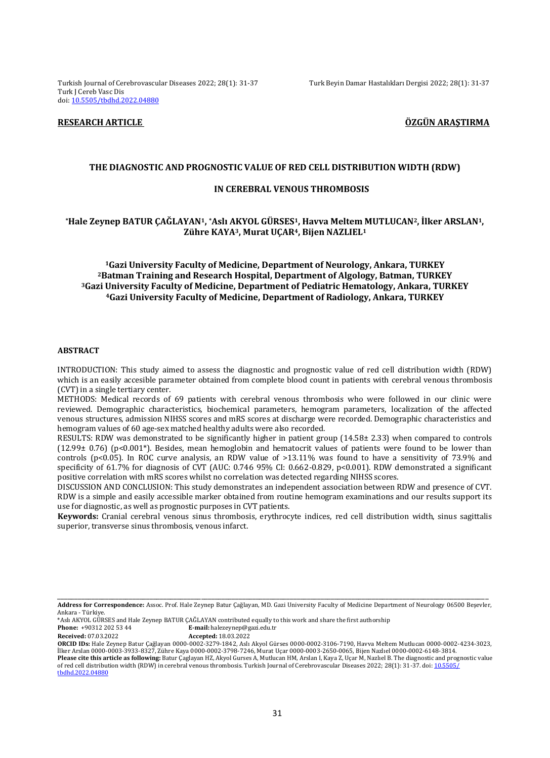Turkish Journal of Cerebrovascular Diseases 2022; 28(1): 31-37 Turk Beyin Damar Hastalıkları Dergisi 2022; 28(1): 31-37 Turk J Cereb Vasc Dis doi[: 10.5505/tbdhd.2022.04880](https://dx.doi.org/10.5505/tbdhd.2022.04880)

# **RESEARCH ARTICLE ÖZGÜN ARAŞTIRMA**

## **THE DIAGNOSTIC AND PROGNOSTIC VALUE OF RED CELL DISTRIBUTION WIDTH (RDW)**

# **IN CEREBRAL VENOUS THROMBOSIS**

# **\*Hale Zeynep BATUR ÇAĞLAYAN1, \*Aslı AKYOL GÜRSES1, Havva Meltem MUTLUCAN2, İlker ARSLAN1, Zühre KAYA3, Murat UÇAR4, Bijen NAZLIEL<sup>1</sup>**

**Gazi University Faculty of Medicine, Department of Neurology, Ankara, TURKEY Batman Training and Research Hospital, Department of Algology, Batman, TURKEY Gazi University Faculty of Medicine, Department of Pediatric Hematology, Ankara, TURKEY Gazi University Faculty of Medicine, Department of Radiology, Ankara, TURKEY**

### **ABSTRACT**

INTRODUCTION: This study aimed to assess the diagnostic and prognostic value of red cell distribution width (RDW) which is an easily accesible parameter obtained from complete blood count in patients with cerebral venous thrombosis (CVT) in a single tertiary center.

METHODS: Medical records of 69 patients with cerebral venous thrombosis who were followed in our clinic were reviewed. Demographic characteristics, biochemical parameters, hemogram parameters, localization of the affected venous structures, admission NIHSS scores and mRS scores at discharge were recorded. Demographic characteristics and hemogram values of 60 age-sex matched healthy adults were also recorded.

RESULTS: RDW was demonstrated to be significantly higher in patient group (14.58± 2.33) when compared to controls (12.99± 0.76) (p<0.001\*). Besides, mean hemoglobin and hematocrit values of patients were found to be lower than controls (p<0.05). In ROC curve analysis, an RDW value of >13.11% was found to have a sensitivity of 73.9% and specificity of 61.7% for diagnosis of CVT (AUC: 0.746 95% CI: 0.662-0.829, p<0.001). RDW demonstrated a significant positive correlation with mRS scores whilst no correlation was detected regarding NIHSS scores.

DISCUSSION AND CONCLUSION: This study demonstrates an independent association between RDW and presence of CVT. RDW is a simple and easily accessible marker obtained from routine hemogram examinations and our results support its use for diagnostic, as well as prognostic purposes in CVT patients.

**Keywords:** Cranial cerebral venous sinus thrombosis, erythrocyte indices, red cell distribution width, sinus sagittalis superior, transverse sinus thrombosis, venous infarct.

**Phone:** +90312 202 53 44 **E-mail:** halezeynep@gazi.edu.tr

**Received:** 07.03.2022 **Accepted:** 18.03.2022

\_\_\_\_\_\_\_\_\_\_\_\_\_\_\_\_\_\_\_\_\_\_\_\_\_\_\_\_\_\_\_\_\_\_\_\_\_\_\_\_\_\_\_\_\_\_\_\_\_\_\_\_\_\_\_\_\_\_\_\_\_\_\_\_\_\_\_\_\_\_\_\_\_\_\_\_\_\_\_\_\_\_\_\_\_\_\_\_\_\_\_\_\_\_\_\_\_\_\_\_\_\_\_\_\_\_\_\_\_\_\_\_\_\_\_\_\_\_\_\_\_\_\_\_\_\_ **Address for Correspondence:** Assoc. Prof. Hale Zeynep Batur Çağlayan, MD. Gazi University Faculty of Medicine Department of Neurology 06500 Beşevler, Ankara - Türkiye.

<sup>\*</sup>Aslı AKYOL GÜRSES and Hale Zeynep BATUR ÇAĞLAYAN contributed equally to this work and share the first authorship

**ORCID IDs:** Hale Zeynep Batur Çağlayan 0000-0002-3279-1842, Aslı Akyol Gürses 0000-0002-3106-7190, Havva Meltem Mutlucan 0000-0002-4234-3023, İlker Arslan 0000-0003-3933-8327, Zühre Kaya 0000-0002-3798-7246, Murat Uçar 0000-0003-2650-0065, Bijen Nazlıel 0000-0002-6148-3814. Please cite this article as following: Batur Çaglayan HZ, Akyol Gurses A, Mutlucan HM, Arslan I, Kaya Z, Uçar M, Nazlıel B. The diagnostic and prognostic value

of red cell distribution width (RDW) in cerebral venous thrombosis. Turkish Journal of Cerebrovascular Diseases 2022; 28(1): 31-37. doi: 10.5505/ [tbdhd.2022.04880](https://dx.doi.org/10.5505/tbdhd.2022.04880)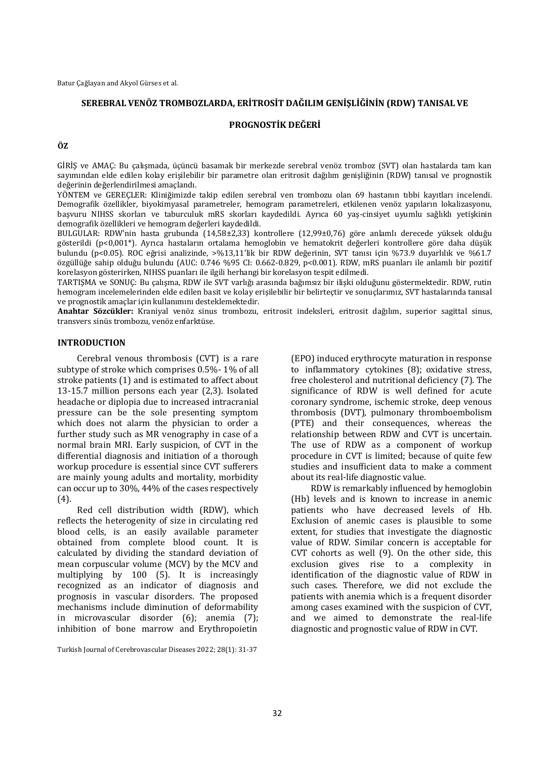Batur Çağlayan and Akyol Gürses et al.

# **SEREBRAL VENÖZ TROMBOZLARDA, ERİTROSİT DAĞILIM GENİŞLİĞİNİN (RDW) TANISAL VE**

# **PROGNOSTİK DEĞERİ**

#### **ÖZ**

GİRİŞ ve AMAÇ: Bu çalışmada, üçüncü basamak bir merkezde serebral venöz tromboz (SVT) olan hastalarda tam kan sayımından elde edilen kolay erişilebilir bir parametre olan eritrosit dağılım genişliğinin (RDW) tanısal ve prognostik değerinin değerlendirilmesi amaçlandı.

YÖNTEM ve GEREÇLER: Kliniğimizde takip edilen serebral ven trombozu olan 69 hastanın tıbbi kayıtları incelendi. Demografik özellikler, biyokimyasal parametreler, hemogram parametreleri, etkilenen venöz yapıların lokalizasyonu, başvuru NIHSS skorları ve taburculuk mRS skorları kaydedildi. Ayrıca 60 yaş-cinsiyet uyumlu sağlıklı yetişkinin demografik özellikleri ve hemogram değerleri kaydedildi.

BULGULAR: RDW'nin hasta grubunda (14,58±2,33) kontrollere (12,99±0,76) göre anlamlı derecede yüksek olduğu gösterildi (p<0,001\*). Ayrıca hastaların ortalama hemoglobin ve hematokrit değerleri kontrollere göre daha düşük bulundu (p<0.05). ROC eğrisi analizinde, >%13,11'lik bir RDW değerinin, SVT tanısı için %73.9 duyarlılık ve %61.7 özgüllüğe sahip olduğu bulundu (AUC: 0.746 %95 CI: 0.662-0.829, p<0.001). RDW, mRS puanları ile anlamlı bir pozitif korelasyon gösterirken, NIHSS puanları ile ilgili herhangi bir korelasyon tespit edilmedi.

TARTIŞMA ve SONUÇ: Bu çalışma, RDW ile SVT varlığı arasında bağımsız bir ilişki olduğunu göstermektedir. RDW, rutin hemogram incelemelerinden elde edilen basit ve kolay erişilebilir bir belirteçtir ve sonuçlarımız, SVT hastalarında tanısal ve prognostik amaçlar için kullanımını desteklemektedir.

**Anahtar Sözcükler:** Kraniyal venöz sinus trombozu, eritrosit indeksleri, eritrosit dağılım, superior sagittal sinus, transvers sinüs trombozu, venöz enfarktüse.

## **INTRODUCTION**

Cerebral venous thrombosis (CVT) is a rare subtype of stroke which comprises 0.5%- 1% of all stroke patients (1) and is estimated to affect about 13-15.7 million persons each year (2,3). Isolated headache or diplopia due to increased intracranial pressure can be the sole presenting symptom which does not alarm the physician to order a further study such as MR venography in case of a normal brain MRI. Early suspicion, of CVT in the differential diagnosis and initiation of a thorough workup procedure is essential since CVT sufferers are mainly young adults and mortality, morbidity can occur up to 30%, 44% of the cases respectively (4).

Red cell distribution width (RDW), which reflects the heterogenity of size in circulating red blood cells, is an easily available parameter obtained from complete blood count. It is calculated by dividing the standard deviation of mean corpuscular volume (MCV) by the MCV and multiplying by 100 (5). It is increasingly recognized as an indicator of diagnosis and prognosis in vascular disorders. The proposed mechanisms include diminution of deformability in microvascular disorder (6); anemia (7); inhibition of bone marrow and Erythropoietin

Turkish Journal of Cerebrovascular Diseases 2022; 28(1): 31-37

(EPO) induced erythrocyte maturation in response to inflammatory cytokines (8); oxidative stress, free cholesterol and nutritional deficiency (7). The significance of RDW is well defined for acute coronary syndrome, ischemic stroke, deep venous thrombosis (DVT), pulmonary thromboembolism (PTE) and their consequences, whereas the relationship between RDW and CVT is uncertain. The use of RDW as a component of workup procedure in CVT is limited; because of quite few studies and insufficient data to make a comment about its real-life diagnostic value.

RDW is remarkably influenced by hemoglobin (Hb) levels and is known to increase in anemic patients who have decreased levels of Hb. Exclusion of anemic cases is plausible to some extent, for studies that investigate the diagnostic value of RDW. Similar concern is acceptable for CVT cohorts as well (9). On the other side, this exclusion gives rise to a complexity in identification of the diagnostic value of RDW in such cases. Therefore, we did not exclude the patients with anemia which is a frequent disorder among cases examined with the suspicion of CVT, and we aimed to demonstrate the real-life diagnostic and prognostic value of RDW in CVT.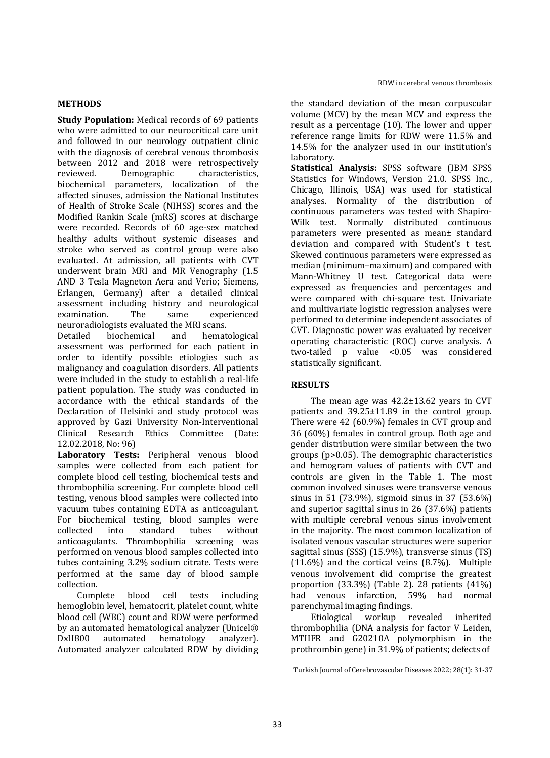# **METHODS**

**Study Population:** Medical records of 69 patients who were admitted to our neurocritical care unit and followed in our neurology outpatient clinic with the diagnosis of cerebral venous thrombosis between 2012 and 2018 were retrospectively reviewed. Demographic characteristics, biochemical parameters, localization of the affected sinuses, admission the National Institutes of Health of Stroke Scale (NIHSS) scores and the Modified Rankin Scale (mRS) scores at discharge were recorded. Records of 60 age-sex matched healthy adults without systemic diseases and stroke who served as control group were also evaluated. At admission, all patients with CVT underwent brain MRI and MR Venography (1.5 AND 3 Tesla Magneton Aera and Verio; Siemens, Erlangen, Germany) after a detailed clinical assessment including history and neurological examination. The same experienced neuroradiologists evaluated the MRI scans.

Detailed biochemical and hematological assessment was performed for each patient in order to identify possible etiologies such as malignancy and coagulation disorders. All patients were included in the study to establish a real-life patient population. The study was conducted in accordance with the ethical standards of the Declaration of Helsinki and study protocol was approved by Gazi University Non-Interventional Clinical Research Ethics Committee (Date: 12.02.2018, No: 96)

**Laboratory Tests:** Peripheral venous blood samples were collected from each patient for complete blood cell testing, biochemical tests and thrombophilia screening. For complete blood cell testing, venous blood samples were collected into vacuum tubes containing EDTA as anticoagulant. For biochemical testing, blood samples were collected into standard tubes without anticoagulants. Thrombophilia screening was performed on venous blood samples collected into tubes containing 3.2% sodium citrate. Tests were performed at the same day of blood sample collection.

Complete blood cell tests including hemoglobin level, hematocrit, platelet count, white blood cell (WBC) count and RDW were performed by an automated hematological analyzer (Unicel® DxH800 automated hematology analyzer). Automated analyzer calculated RDW by dividing

the standard deviation of the mean corpuscular volume (MCV) by the mean MCV and express the result as a percentage (10). The lower and upper reference range limits for RDW were 11.5% and 14.5% for the analyzer used in our institution's laboratory.

**Statistical Analysis:** SPSS software (IBM SPSS Statistics for Windows, Version 21.0. SPSS Inc., Chicago, Illinois, USA) was used for statistical analyses. Normality of the distribution of continuous parameters was tested with Shapiro-Wilk test. Normally distributed continuous parameters were presented as mean± standard deviation and compared with Student's t test. Skewed continuous parameters were expressed as median (minimum–maximum) and compared with Mann-Whitney U test. Categorical data were expressed as frequencies and percentages and were compared with chi-square test. Univariate and multivariate logistic regression analyses were performed to determine independent associates of CVT. Diagnostic power was evaluated by receiver operating characteristic (ROC) curve analysis. A two-tailed p value <0.05 was considered statistically significant.

# **RESULTS**

The mean age was 42.2±13.62 years in CVT patients and 39.25±11.89 in the control group. There were 42 (60.9%) females in CVT group and 36 (60%) females in control group. Both age and gender distribution were similar between the two groups (p>0.05). The demographic characteristics and hemogram values of patients with CVT and controls are given in the Table 1. The most common involved sinuses were transverse venous sinus in 51 (73.9%), sigmoid sinus in 37 (53.6%) and superior sagittal sinus in 26 (37.6%) patients with multiple cerebral venous sinus involvement in the majority. The most common localization of isolated venous vascular structures were superior sagittal sinus (SSS) (15.9%), transverse sinus (TS) (11.6%) and the cortical veins (8.7%). Multiple venous involvement did comprise the greatest proportion (33.3%) (Table 2). 28 patients (41%) had venous infarction, 59% had normal parenchymal imaging findings.

Etiological workup revealed inherited thrombophilia (DNA analysis for factor V Leiden, MTHFR and G20210A polymorphism in the prothrombin gene) in 31.9% of patients; defects of

Turkish Journal of Cerebrovascular Diseases 2022; 28(1): 31-37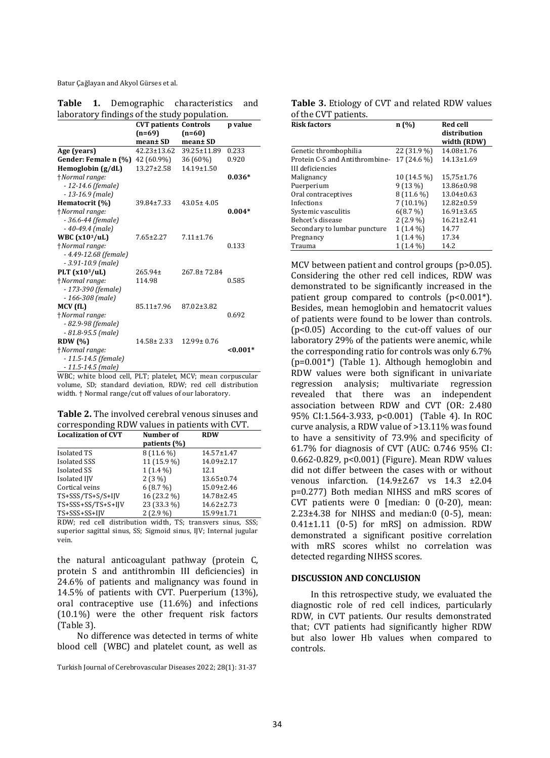Batur Çağlayan and Akyol Gürses et al.

| <b>Table</b>                                 |  |  | Demographic characteristics and |  |
|----------------------------------------------|--|--|---------------------------------|--|
| laboratory findings of the study population. |  |  |                                 |  |

|                          | <b>CVT patients Controls</b> |                   | p value  |  |
|--------------------------|------------------------------|-------------------|----------|--|
|                          | $(n=69)$                     | $(n=60)$          |          |  |
|                          | mean± SD                     | mean± SD          |          |  |
| Age (years)              | $42.23 \pm 13.62$            | $39.25 \pm 11.89$ | 0.233    |  |
| Gender: Female n (%)     | 42 (60.9%)                   | 36 (60%)          | 0.920    |  |
| Hemoglobin $(g/dL)$      | $13.27 \pm 2.58$             | $14.19 \pm 1.50$  |          |  |
| †Normal range:           |                              |                   | $0.036*$ |  |
| $-12-14.6$ (female)      |                              |                   |          |  |
| $-13-16.9$ (male)        |                              |                   |          |  |
| Hematocrit (%)           | 39.84±7.33                   | $43.05 \pm 4.05$  |          |  |
| +Normal range:           |                              |                   | $0.004*$ |  |
| $-36.6 - 44$ (female)    |                              |                   |          |  |
| $-40-49.4$ (male)        |                              |                   |          |  |
| WBC $(x103/uL)$          | $7.65 \pm 2.27$              | $7.11 \pm 1.76$   |          |  |
| +Normal range:           |                              |                   | 0.133    |  |
| $-4.49 - 12.68$ (female) |                              |                   |          |  |
| $-3.91 - 10.9$ (male)    |                              |                   |          |  |
| PLT $(x103/uL)$          | $265.94 \pm$                 | $267.8 \pm 72.84$ |          |  |
| +Normal range:           | 114.98                       |                   | 0.585    |  |
| - 173-390 (female)       |                              |                   |          |  |
| $-166 - 308$ (male)      |                              |                   |          |  |
| MCV (fL)                 | 85.11±7.96                   | 87.02±3.82        |          |  |
| +Normal range:           |                              |                   | 0.692    |  |
| - 82.9-98 (female)       |                              |                   |          |  |
| $-81.8-95.5$ (male)      |                              |                   |          |  |
| <b>RDW</b> (%)           | $14.58 \pm 2.33$             | $12.99 \pm 0.76$  |          |  |
| <i>†Normal range:</i>    |                              |                   | $0.001*$ |  |
| $-11.5 - 14.5$ (female)  |                              |                   |          |  |
| $-11.5 - 14.5$ (male)    |                              |                   |          |  |

WBC; white blood cell, PLT; platelet, MCV; mean corpuscular volume, SD; standard deviation, RDW; red cell distribution width. † Normal range/cut off values of our laboratory.

**Table 2.** The involved cerebral venous sinuses and corresponding RDW values in patients with CVT.

| <b>Localization of CVT</b> | Number of    | <b>RDW</b>       |  |
|----------------------------|--------------|------------------|--|
|                            | patients (%) |                  |  |
| Isolated TS                | 8 (11.6 %)   | $14.57 \pm 1.47$ |  |
| Isolated SSS               | 11 (15.9 %)  | 14.09±2.17       |  |
| <b>Isolated SS</b>         | $1(1.4\%)$   | 12.1             |  |
| Isolated IJV               | $2(3\%)$     | $13.65 \pm 0.74$ |  |
| Cortical veins             | 6(8.7%)      | $15.09 \pm 2.46$ |  |
| TS+SSS/TS+S/S+IJV          | 16 (23.2 %)  | $14.78 \pm 2.45$ |  |
| TS+SSS+SS/TS+S+IJV         | 23 (33.3 %)  | $14.62 \pm 2.73$ |  |
| TS+SSS+SS+IJV              | $2(2.9\%)$   | 15.99±1.71       |  |

RDW; red cell distribution width, TS; transvers sinus, SSS; superior sagittal sinus, SS; Sigmoid sinus, IJV; Internal jugular vein.

the natural anticoagulant pathway (protein C, protein S and antithrombin III deficiencies) in 24.6% of patients and malignancy was found in 14.5% of patients with CVT. Puerperium (13%), oral contraceptive use (11.6%) and infections (10.1%) were the other frequent risk factors (Table 3).

No difference was detected in terms of white blood cell (WBC) and platelet count, as well as

**Table 3.** Etiology of CVT and related RDW values of the CVT patients.

| <b>Risk factors</b>            | n (%)       | <b>Red cell</b><br>distribution<br>width (RDW) |
|--------------------------------|-------------|------------------------------------------------|
| Genetic thrombophilia          | 22 (31.9 %) | $14.08 \pm 1.76$                               |
| Protein C-S and Antithrombine- | 17 (24.6 %) | $14.13 \pm 1.69$                               |
| III deficiencies               |             |                                                |
| Malignancy                     | 10 (14.5 %) | $15,75 \pm 1.76$                               |
| Puerperium                     | $9(13\%)$   | $13.86 \pm 0.98$                               |
| Oral contraceptives            | $8(11.6\%)$ | $13.04 \pm 0.63$                               |
| Infections                     | $7(10.1\%)$ | $12.82 \pm 0.59$                               |
| Systemic vasculitis            | 6(8.7%)     | $16.91 \pm 3.65$                               |
| Behcet's disease               | $2(2.9\%)$  | $16.21 \pm 2.41$                               |
| Secondary to lumbar puncture   | $1(1.4\%)$  | 14.77                                          |
| Pregnancy                      | $1(1.4\%)$  | 17.34                                          |
| Trauma                         | $1(1.4\%)$  | 14.2                                           |

MCV between patient and control groups (p>0.05). Considering the other red cell indices, RDW was demonstrated to be significantly increased in the patient group compared to controls  $(p<0.001^*)$ . Besides, mean hemoglobin and hematocrit values of patients were found to be lower than controls. (p<0.05) According to the cut-off values of our laboratory 29% of the patients were anemic, while the corresponding ratio for controls was only 6.7% (p=0.001\*) (Table 1). Although hemoglobin and RDW values were both significant in univariate regression analysis; multivariate regression revealed that there was an independent association between RDW and CVT (OR: 2.480 95% CI:1.564-3.933, p<0.001) (Table 4). In ROC curve analysis, a RDW value of >13.11% was found to have a sensitivity of 73.9% and specificity of 61.7% for diagnosis of CVT (AUC: 0.746 95% CI: 0.662-0.829, p<0.001) (Figure). Mean RDW values did not differ between the cases with or without venous infarction. (14.9±2.67 vs 14.3 ±2.04 p=0.277) Both median NIHSS and mRS scores of CVT patients were 0 [median: 0 (0-20), mean:  $2.23\pm4.38$  for NIHSS and median:0 (0-5), mean:  $0.41\pm1.11$  (0-5) for mRS on admission. RDW demonstrated a significant positive correlation with mRS scores whilst no correlation was detected regarding NIHSS scores.

# **DISCUSSION AND CONCLUSION**

In this retrospective study, we evaluated the diagnostic role of red cell indices, particularly RDW, in CVT patients. Our results demonstrated that; CVT patients had significantly higher RDW but also lower Hb values when compared to controls.

Turkish Journal of Cerebrovascular Diseases 2022; 28(1): 31-37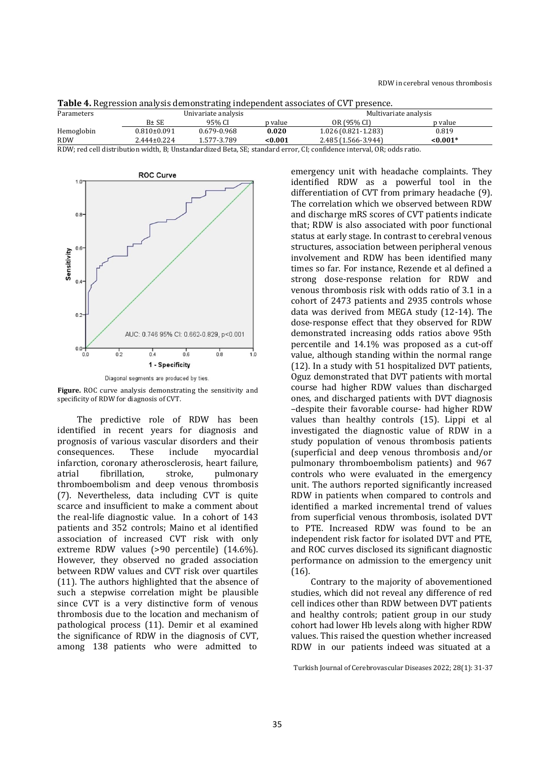| $\frac{1}{2}$ and $\frac{1}{2}$ . The second control of the control of the control of the second of $\alpha$ , $\alpha$ , $\alpha$ , $\alpha$ , $\alpha$ , $\alpha$ , $\alpha$ , $\alpha$ , $\alpha$ , $\alpha$ , $\alpha$ , $\alpha$ , $\alpha$ , $\alpha$ , $\alpha$ , $\alpha$ , $\alpha$ , $\alpha$ , $\alpha$ |                     |             |         |                       |            |  |
|--------------------------------------------------------------------------------------------------------------------------------------------------------------------------------------------------------------------------------------------------------------------------------------------------------------------|---------------------|-------------|---------|-----------------------|------------|--|
| Parameters                                                                                                                                                                                                                                                                                                         | Univariate analysis |             |         | Multivariate analysis |            |  |
|                                                                                                                                                                                                                                                                                                                    | B± SE               | 95% CI      | p value | OR (95% CI)           | p value    |  |
| Hemoglobin                                                                                                                                                                                                                                                                                                         | $0.810\pm0.091$     | 0.679-0.968 | 0.020   | $1.026(0.821-1.283)$  | 0.819      |  |
| RDW                                                                                                                                                                                                                                                                                                                | $2.444 \pm 0.224$   | 1.577-3.789 | <0.001  | 2.485 (1.566-3.944)   | $< 0.001*$ |  |

RDW; red cell distribution width, B; Unstandardized Beta, SE; standard error, CI; confidence interval, OR; odds ratio.



Diagonal segments are produced by ties.

**Figure.** ROC curve analysis demonstrating the sensitivity and specificity of RDW for diagnosis of CVT.

The predictive role of RDW has been identified in recent years for diagnosis and prognosis of various vascular disorders and their consequences. These include myocardial infarction, coronary atherosclerosis, heart failure, atrial fibrillation, stroke, pulmonary thromboembolism and deep venous thrombosis (7). Nevertheless, data including CVT is quite scarce and insufficient to make a comment about the real-life diagnostic value. In a cohort of 143 patients and 352 controls; Maino et al identified association of increased CVT risk with only extreme RDW values (>90 percentile) (14.6%). However, they observed no graded association between RDW values and CVT risk over quartiles (11). The authors highlighted that the absence of such a stepwise correlation might be plausible since CVT is a very distinctive form of venous thrombosis due to the location and mechanism of pathological process (11). Demir et al examined the significance of RDW in the diagnosis of CVT, among 138 patients who were admitted to

emergency unit with headache complaints. They identified RDW as a powerful tool in the differentiation of CVT from primary headache (9). The correlation which we observed between RDW and discharge mRS scores of CVT patients indicate that; RDW is also associated with poor functional status at early stage. In contrast to cerebral venous structures, association between peripheral venous involvement and RDW has been identified many times so far. For instance, Rezende et al defined a strong dose-response relation for RDW and venous thrombosis risk with odds ratio of 3.1 in a cohort of 2473 patients and 2935 controls whose data was derived from MEGA study (12-14). The dose-response effect that they observed for RDW demonstrated increasing odds ratios above 95th percentile and 14.1% was proposed as a cut-off value, although standing within the normal range (12). In a study with 51 hospitalized DVT patients, Oguz demonstrated that DVT patients with mortal course had higher RDW values than discharged ones, and discharged patients with DVT diagnosis –despite their favorable course- had higher RDW values than healthy controls (15). Lippi et al investigated the diagnostic value of RDW in a study population of venous thrombosis patients (superficial and deep venous thrombosis and/or pulmonary thromboembolism patients) and 967 controls who were evaluated in the emergency unit. The authors reported significantly increased RDW in patients when compared to controls and identified a marked incremental trend of values from superficial venous thrombosis, isolated DVT to PTE. Increased RDW was found to be an independent risk factor for isolated DVT and PTE, and ROC curves disclosed its significant diagnostic performance on admission to the emergency unit (16).

Contrary to the majority of abovementioned studies, which did not reveal any difference of red cell indices other than RDW between DVT patients and healthy controls; patient group in our study cohort had lower Hb levels along with higher RDW values. This raised the question whether increased RDW in our patients indeed was situated at a

Turkish Journal of Cerebrovascular Diseases 2022; 28(1): 31-37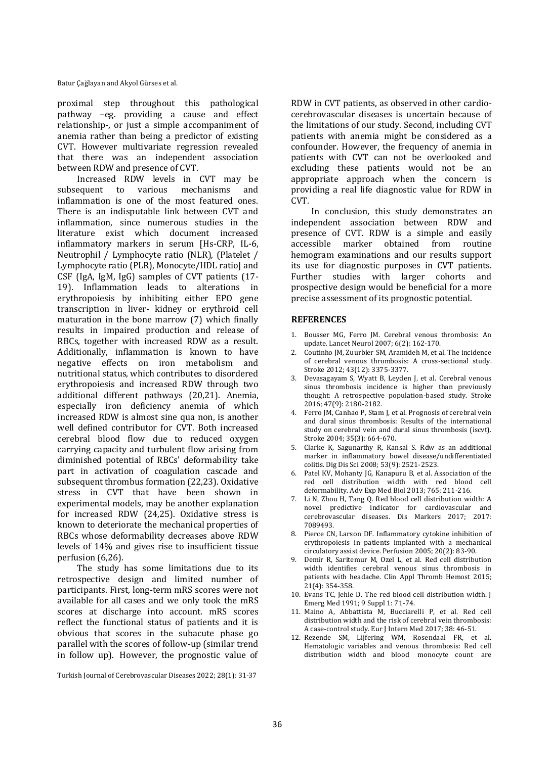Batur Çağlayan and Akyol Gürses et al.

proximal step throughout this pathological pathway –eg. providing a cause and effect relationship-, or just a simple accompaniment of anemia rather than being a predictor of existing CVT. However multivariate regression revealed that there was an independent association between RDW and presence of CVT.

Increased RDW levels in CVT may be subsequent to various mechanisms and inflammation is one of the most featured ones. There is an indisputable link between CVT and inflammation, since numerous studies in the literature exist which document increased inflammatory markers in serum [Hs-CRP, IL-6, Neutrophil / Lymphocyte ratio (NLR), (Platelet / Lymphocyte ratio (PLR), Monocyte/HDL ratio] and CSF (IgA, IgM, IgG) samples of CVT patients (17- 19). Inflammation leads to alterations in erythropoiesis by inhibiting either EPO gene transcription in liver- kidney or erythroid cell maturation in the bone marrow (7) which finally results in impaired production and release of RBCs, together with increased RDW as a result. Additionally, inflammation is known to have negative effects on iron metabolism and nutritional status, which contributes to disordered erythropoiesis and increased RDW through two additional different pathways (20,21). Anemia, especially iron deficiency anemia of which increased RDW is almost sine qua non, is another well defined contributor for CVT. Both increased cerebral blood flow due to reduced oxygen carrying capacity and turbulent flow arising from diminished potential of RBCs' deformability take part in activation of coagulation cascade and subsequent thrombus formation (22,23). Oxidative stress in CVT that have been shown in experimental models, may be another explanation for increased RDW (24,25). Oxidative stress is known to deteriorate the mechanical properties of RBCs whose deformability decreases above RDW levels of 14% and gives rise to insufficient tissue perfusion (6,26).

The study has some limitations due to its retrospective design and limited number of participants. First, long-term mRS scores were not available for all cases and we only took the mRS scores at discharge into account. mRS scores reflect the functional status of patients and it is obvious that scores in the subacute phase go parallel with the scores of follow-up (similar trend in follow up). However, the prognostic value of

Turkish Journal of Cerebrovascular Diseases 2022; 28(1): 31-37

RDW in CVT patients, as observed in other cardiocerebrovascular diseases is uncertain because of the limitations of our study. Second, including CVT patients with anemia might be considered as a confounder. However, the frequency of anemia in patients with CVT can not be overlooked and excluding these patients would not be an appropriate approach when the concern is providing a real life diagnostic value for RDW in CVT.

In conclusion, this study demonstrates an independent association between RDW and presence of CVT. RDW is a simple and easily accessible marker obtained from routine hemogram examinations and our results support its use for diagnostic purposes in CVT patients. Further studies with larger cohorts and prospective design would be beneficial for a more precise assessment of its prognostic potential.

# **REFERENCES**

- 1. Bousser MG, Ferro JM. Cerebral venous thrombosis: An update. Lancet Neurol 2007; 6(2): 162-170.
- 2. Coutinho JM, Zuurbier SM, Aramideh M, et al. The incidence of cerebral venous thrombosis: A cross-sectional study. Stroke 2012; 43(12): 3375-3377.
- 3. Devasagayam S, Wyatt B, Leyden J, et al. Cerebral venous sinus thrombosis incidence is higher than previously thought: A retrospective population-based study. Stroke 2016; 47(9): 2180-2182.
- 4. Ferro JM, Canhao P, Stam J, et al. Prognosis of cerebral vein and dural sinus thrombosis: Results of the international study on cerebral vein and dural sinus thrombosis (iscvt). Stroke 2004; 35(3): 664-670.
- 5. Clarke K, Sagunarthy R, Kansal S. Rdw as an additional marker in inflammatory bowel disease/undifferentiated colitis. Dig Dis Sci 2008; 53(9): 2521-2523.
- 6. Patel KV, Mohanty JG, Kanapuru B, et al. Association of the red cell distribution width with red blood cell deformability. Adv Exp Med Biol 2013; 765: 211-216.
- 7. Li N, Zhou H, Tang Q. Red blood cell distribution width: A novel predictive indicator for cardiovascular and cerebrovascular diseases. Dis Markers 2017; 2017: 7089493.
- 8. Pierce CN, Larson DF. Inflammatory cytokine inhibition of erythropoiesis in patients implanted with a mechanical circulatory assist device. Perfusion 2005; 20(2): 83-90.
- 9. Demir R, Saritemur M, Ozel L, et al. Red cell distribution width identifies cerebral venous sinus thrombosis in patients with headache. Clin Appl Thromb Hemost 2015; 21(4): 354-358.
- 10. Evans TC, Jehle D. The red blood cell distribution width. J Emerg Med 1991; 9 Suppl 1: 71-74.
- 11. Maino A, Abbattista M, Bucciarelli P, et al. Red cell distribution width and the risk of cerebral vein thrombosis: A case-control study. Eur J Intern Med 2017; 38: 46-51.
- 12. Rezende SM, Lijfering WM, Rosendaal FR, et al. Hematologic variables and venous thrombosis: Red cell distribution width and blood monocyte count are